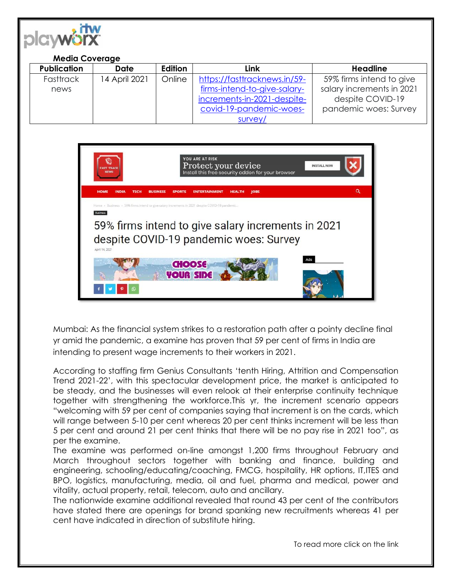

## **Media Coverage Publication Date Edition Link Headline Fasttrack** news 14 April 2021 | Online | [https://fasttracknews.in/59](https://fasttracknews.in/59-firms-intend-to-give-salary-increments-in-2021-despite-covid-19-pandemic-woes-survey/) [firms-intend-to-give-salary](https://fasttracknews.in/59-firms-intend-to-give-salary-increments-in-2021-despite-covid-19-pandemic-woes-survey/)[increments-in-2021-despite](https://fasttracknews.in/59-firms-intend-to-give-salary-increments-in-2021-despite-covid-19-pandemic-woes-survey/)[covid-19-pandemic-woes](https://fasttracknews.in/59-firms-intend-to-give-salary-increments-in-2021-despite-covid-19-pandemic-woes-survey/)[survey/](https://fasttracknews.in/59-firms-intend-to-give-salary-increments-in-2021-despite-covid-19-pandemic-woes-survey/) 59% firms intend to give salary increments in 2021 despite COVID-19 pandemic woes: Survey



Mumbai: As the financial system strikes to a restoration path after a pointy decline final yr amid the pandemic, a examine has proven that 59 per cent of firms in India are intending to present wage increments to their workers in 2021.

According to staffing firm Genius Consultants 'tenth Hiring, Attrition and Compensation Trend 2021-22', with this spectacular development price, the market is anticipated to be steady, and the businesses will even relook at their enterprise continuity technique together with strengthening the workforce.This yr, the increment scenario appears "welcoming with 59 per cent of companies saying that increment is on the cards, which will range between 5-10 per cent whereas 20 per cent thinks increment will be less than 5 per cent and around 21 per cent thinks that there will be no pay rise in 2021 too", as per the examine.

The examine was performed on-line amongst 1,200 firms throughout February and March throughout sectors together with banking and finance, building and engineering, schooling/educating/coaching, FMCG, hospitality, HR options, IT,ITES and BPO, logistics, manufacturing, media, oil and fuel, pharma and medical, power and vitality, actual property, retail, telecom, auto and ancillary.

The nationwide examine additional revealed that round 43 per cent of the contributors have stated there are openings for brand spanking new recruitments whereas 41 per cent have indicated in direction of substitute hiring.

To read more click on the link